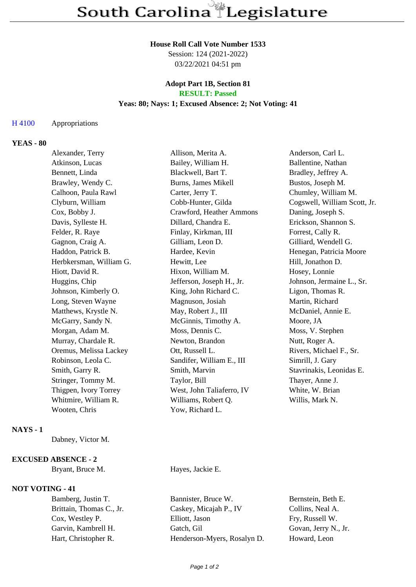### **House Roll Call Vote Number 1533**

Session: 124 (2021-2022) 03/22/2021 04:51 pm

### **Adopt Part 1B, Section 81 RESULT: Passed**

### **Yeas: 80; Nays: 1; Excused Absence: 2; Not Voting: 41**

### H 4100 Appropriations

# **YEAS - 80**

| Alexander, Terry        | Allison, Merita A.        | Anderson, Carl L.            |
|-------------------------|---------------------------|------------------------------|
| Atkinson, Lucas         | Bailey, William H.        | Ballentine, Nathan           |
| Bennett, Linda          | Blackwell, Bart T.        | Bradley, Jeffrey A.          |
| Brawley, Wendy C.       | Burns, James Mikell       | Bustos, Joseph M.            |
| Calhoon, Paula Rawl     | Carter, Jerry T.          | Chumley, William M.          |
| Clyburn, William        | Cobb-Hunter, Gilda        | Cogswell, William Scott, Jr. |
| Cox, Bobby J.           | Crawford, Heather Ammons  | Daning, Joseph S.            |
| Davis, Sylleste H.      | Dillard, Chandra E.       | Erickson, Shannon S.         |
| Felder, R. Raye         | Finlay, Kirkman, III      | Forrest, Cally R.            |
| Gagnon, Craig A.        | Gilliam, Leon D.          | Gilliard, Wendell G.         |
| Haddon, Patrick B.      | Hardee, Kevin             | Henegan, Patricia Moore      |
| Herbkersman, William G. | Hewitt, Lee               | Hill, Jonathon D.            |
| Hiott, David R.         | Hixon, William M.         | Hosey, Lonnie                |
| Huggins, Chip           | Jefferson, Joseph H., Jr. | Johnson, Jermaine L., Sr.    |
| Johnson, Kimberly O.    | King, John Richard C.     | Ligon, Thomas R.             |
| Long, Steven Wayne      | Magnuson, Josiah          | Martin, Richard              |
| Matthews, Krystle N.    | May, Robert J., III       | McDaniel, Annie E.           |
| McGarry, Sandy N.       | McGinnis, Timothy A.      | Moore, JA                    |
| Morgan, Adam M.         | Moss, Dennis C.           | Moss, V. Stephen             |
| Murray, Chardale R.     | Newton, Brandon           | Nutt, Roger A.               |
| Oremus, Melissa Lackey  | Ott, Russell L.           | Rivers, Michael F., Sr.      |
| Robinson, Leola C.      | Sandifer, William E., III | Simrill, J. Gary             |
| Smith, Garry R.         | Smith, Marvin             | Stavrinakis, Leonidas E.     |
| Stringer, Tommy M.      | Taylor, Bill              | Thayer, Anne J.              |
| Thigpen, Ivory Torrey   | West, John Taliaferro, IV | White, W. Brian              |
| Whitmire, William R.    | Williams, Robert Q.       | Willis, Mark N.              |
| Wooten, Chris           | Yow, Richard L.           |                              |
|                         |                           |                              |

## **NAYS - 1**

Dabney, Victor M.

#### **EXCUSED ABSENCE - 2**

Bryant, Bruce M. Hayes, Jackie E.

# **NOT VOTING - 41**

Bamberg, Justin T. Bannister, Bruce W. Bernstein, Beth E. Brittain, Thomas C., Jr. Caskey, Micajah P., IV Collins, Neal A. Cox, Westley P. Elliott, Jason Fry, Russell W. Garvin, Kambrell H. Gatch, Gil Govan, Jerry N., Jr. Hart, Christopher R. Henderson-Myers, Rosalyn D. Howard, Leon